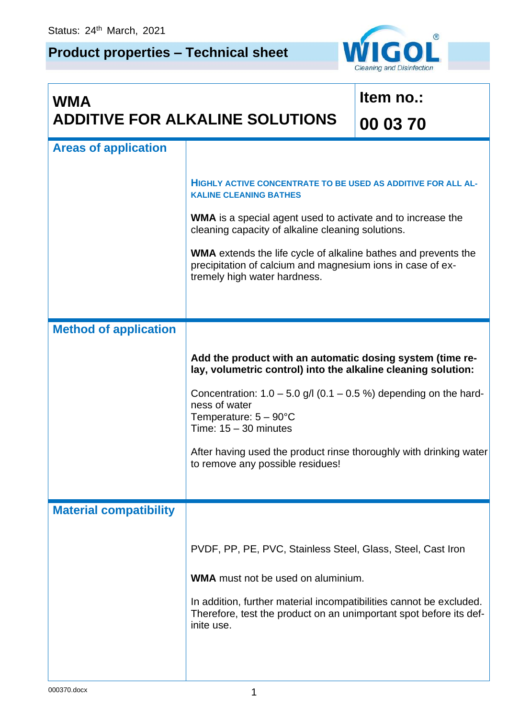## **Product properties – Technical sheet**



| <b>WMA</b><br><b>ADDITIVE FOR ALKALINE SOLUTIONS</b> |                                                                                                                                                                     | Item no.: |  |
|------------------------------------------------------|---------------------------------------------------------------------------------------------------------------------------------------------------------------------|-----------|--|
|                                                      |                                                                                                                                                                     | 00 03 70  |  |
| <b>Areas of application</b>                          |                                                                                                                                                                     |           |  |
|                                                      | HIGHLY ACTIVE CONCENTRATE TO BE USED AS ADDITIVE FOR ALL AL-<br><b>KALINE CLEANING BATHES</b>                                                                       |           |  |
|                                                      | <b>WMA</b> is a special agent used to activate and to increase the<br>cleaning capacity of alkaline cleaning solutions.                                             |           |  |
|                                                      | <b>WMA</b> extends the life cycle of alkaline bathes and prevents the<br>precipitation of calcium and magnesium ions in case of ex-<br>tremely high water hardness. |           |  |
| <b>Method of application</b>                         |                                                                                                                                                                     |           |  |
|                                                      | Add the product with an automatic dosing system (time re-<br>lay, volumetric control) into the alkaline cleaning solution:                                          |           |  |
|                                                      | Concentration: $1.0 - 5.0$ g/l (0.1 – 0.5 %) depending on the hard-<br>ness of water<br>Temperature: $5 - 90^{\circ}$ C<br>Time: $15 - 30$ minutes                  |           |  |
|                                                      | After having used the product rinse thoroughly with drinking water<br>to remove any possible residues!                                                              |           |  |
| <b>Material compatibility</b>                        |                                                                                                                                                                     |           |  |
|                                                      | PVDF, PP, PE, PVC, Stainless Steel, Glass, Steel, Cast Iron                                                                                                         |           |  |
|                                                      | <b>WMA</b> must not be used on aluminium.                                                                                                                           |           |  |
|                                                      | In addition, further material incompatibilities cannot be excluded.<br>Therefore, test the product on an unimportant spot before its def-<br>inite use.             |           |  |
|                                                      |                                                                                                                                                                     |           |  |